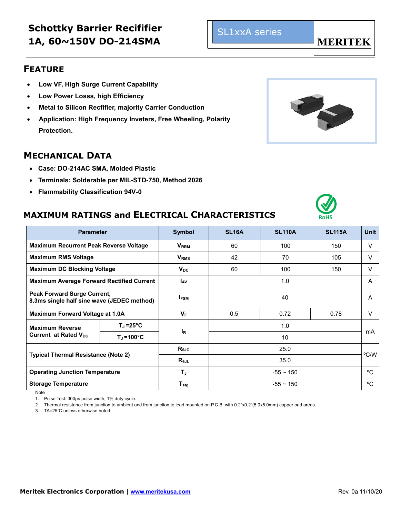# **Schottky Barrier Recififier 1A, 60~150V DO-214SMA**

#### **FEATURE**

- **Low VF, High Surge Current Capability**
- **Low Power Losss, high Efficiency**
- **Metal to Silicon Recfifier, majority Carrier Conduction**
- **Application: High Frequency Inveters, Free Wheeling, Polarity Protection.**

#### **MECHANICAL DATA**

- **Case: DO-214AC SMA, Molded Plastic**
- **Terminals: Solderable per MIL-STD-750, Method 2026**
- **Flammability Classification 94V-0**

## **MAXIMUM RATINGS and ELECTRICAL CHARACTERISTICS**

| <b>Parameter</b>                                                                 |                     | <b>Symbol</b>           | <b>SL16A</b>   | <b>SL110A</b> | <b>SL115A</b> | <b>Unit</b> |
|----------------------------------------------------------------------------------|---------------------|-------------------------|----------------|---------------|---------------|-------------|
| Maximum Recurrent Peak Reverse Voltage                                           |                     | <b>V</b> <sub>RRM</sub> | 60             | 100           | 150           | V           |
| <b>Maximum RMS Voltage</b>                                                       |                     | V <sub>RMS</sub>        | 42             | 70            | 105           | V           |
| <b>Maximum DC Blocking Voltage</b>                                               |                     | $V_{DC}$                | 60             | 100           | 150           | V           |
| <b>Maximum Average Forward Rectified Current</b>                                 |                     | <b>L</b> <sub>AV</sub>  | 1.0            |               |               | A           |
| <b>Peak Forward Surge Current,</b><br>8.3ms single half sine wave (JEDEC method) |                     | <b>IFSM</b>             | 40             |               |               | A           |
| Maximum Forward Voltage at 1.0A                                                  |                     | $V_F$                   | 0.5            | 0.72          | 0.78          | $\vee$      |
| <b>Maximum Reverse</b><br>Current at Rated $V_{\text{nc}}$                       | $T_J = 25^{\circ}C$ | l <sub>R</sub>          | 1.0            |               |               | mA          |
|                                                                                  | $T_{\rm J}$ =100°C  |                         | 10             |               |               |             |
| <b>Typical Thermal Resistance (Note 2)</b>                                       |                     | $R_{0JC}$               | 25.0           |               |               | °C/W        |
|                                                                                  |                     | $R_{\theta$ JL          | 35.0           |               |               |             |
| <b>Operating Junction Temperature</b>                                            |                     | TJ                      | $-55 \sim 150$ |               |               | °C.         |
| <b>Storage Temperature</b>                                                       |                     | $T_{\text{stg}}$        | $-55 \sim 150$ |               |               | °C          |

Note

1. Pulse Test: 300µs pulse width, 1% duty cycle.

2. Thermal resistance from junction to ambient and from junction to lead mounted on P.C.B. with 0.2"x0.2"(5.0x5.0mm) copper pad areas.

3. TA=25˚C unless otherwise noted